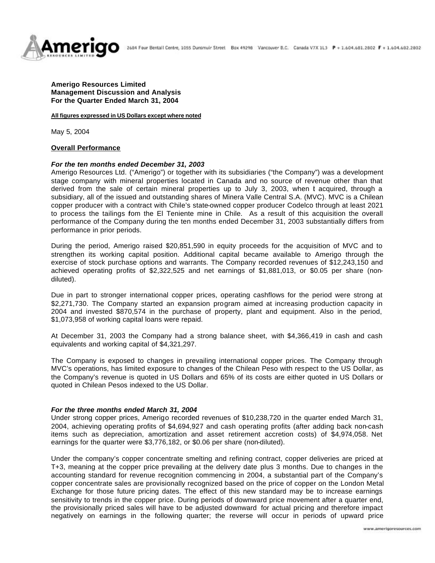

# **Amerigo Resources Limited Management Discussion and Analysis For the Quarter Ended March 31, 2004**

#### **All figures expressed in US Dollars except where noted**

May 5, 2004

### **Overall Performance**

### *For the ten months ended December 31, 2003*

Amerigo Resources Ltd. ("Amerigo") or together with its subsidiaries ("the Company") was a development stage company with mineral properties located in Canada and no source of revenue other than that derived from the sale of certain mineral properties up to July 3, 2003, when t acquired, through a subsidiary, all of the issued and outstanding shares of Minera Valle Central S.A. (MVC). MVC is a Chilean copper producer with a contract with Chile's state-owned copper producer Codelco through at least 2021 to process the tailings fom the El Teniente mine in Chile. As a result of this acquisition the overall performance of the Company during the ten months ended December 31, 2003 substantially differs from performance in prior periods.

During the period, Amerigo raised \$20,851,590 in equity proceeds for the acquisition of MVC and to strengthen its working capital position. Additional capital became available to Amerigo through the exercise of stock purchase options and warrants. The Company recorded revenues of \$12,243,150 and achieved operating profits of \$2,322,525 and net earnings of \$1,881,013, or \$0.05 per share (nondiluted).

Due in part to stronger international copper prices, operating cashflows for the period were strong at \$2,271,730. The Company started an expansion program aimed at increasing production capacity in 2004 and invested \$870,574 in the purchase of property, plant and equipment. Also in the period, \$1,073,958 of working capital loans were repaid.

At December 31, 2003 the Company had a strong balance sheet, with \$4,366,419 in cash and cash equivalents and working capital of \$4,321,297.

The Company is exposed to changes in prevailing international copper prices. The Company through MVC's operations, has limited exposure to changes of the Chilean Peso with respect to the US Dollar, as the Company's revenue is quoted in US Dollars and 65% of its costs are either quoted in US Dollars or quoted in Chilean Pesos indexed to the US Dollar.

#### *For the three months ended March 31, 2004*

Under strong copper prices, Amerigo recorded revenues of \$10,238,720 in the quarter ended March 31, 2004, achieving operating profits of \$4,694,927 and cash operating profits (after adding back non-cash items such as depreciation, amortization and asset retirement accretion costs) of \$4,974,058. Net earnings for the quarter were \$3,776,182, or \$0.06 per share (non-diluted).

Under the company's copper concentrate smelting and refining contract, copper deliveries are priced at T+3, meaning at the copper price prevailing at the delivery date plus 3 months. Due to changes in the accounting standard for revenue recognition commencing in 2004, a substantial part of the Company's copper concentrate sales are provisionally recognized based on the price of copper on the London Metal Exchange for those future pricing dates. The effect of this new standard may be to increase earnings sensitivity to trends in the copper price. During periods of downward price movement after a quarter end, the provisionally priced sales will have to be adjusted downward for actual pricing and therefore impact negatively on earnings in the following quarter; the reverse will occur in periods of upward price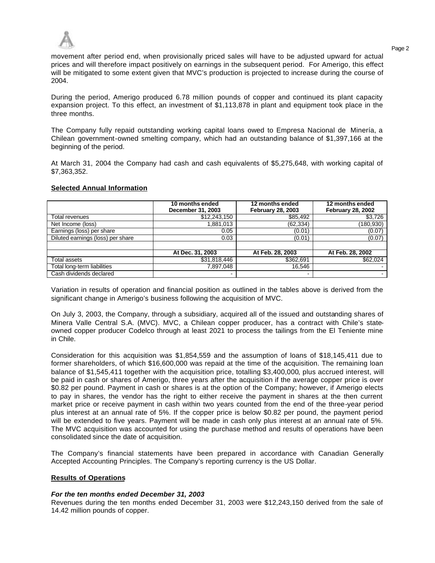

movement after period end, when provisionally priced sales will have to be adjusted upward for actual prices and will therefore impact positively on earnings in the subsequent period. For Amerigo, this effect will be mitigated to some extent given that MVC's production is projected to increase during the course of 2004.

During the period, Amerigo produced 6.78 million pounds of copper and continued its plant capacity expansion project. To this effect, an investment of \$1,113,878 in plant and equipment took place in the three months.

The Company fully repaid outstanding working capital loans owed to Empresa Nacional de Minería, a Chilean government-owned smelting company, which had an outstanding balance of \$1,397,166 at the beginning of the period.

At March 31, 2004 the Company had cash and cash equivalents of \$5,275,648, with working capital of \$7,363,352.

# **Selected Annual Information**

|                                   | 10 months ended<br>December 31, 2003 | 12 months ended<br><b>February 28, 2003</b> | 12 months ended<br><b>February 28, 2002</b> |
|-----------------------------------|--------------------------------------|---------------------------------------------|---------------------------------------------|
| Total revenues                    | \$12,243,150                         | \$85,492                                    | \$3,726                                     |
| Net Income (loss)                 | 881,013                              | (62, 334)                                   | (180, 930)                                  |
| Earnings (loss) per share         | 0.05                                 | (0.01)                                      | (0.07)                                      |
| Diluted earnings (loss) per share | 0.03                                 | (0.01)                                      | (0.07)                                      |
|                                   |                                      |                                             |                                             |
|                                   | At Dec. 31, 2003                     | At Feb. 28, 2003                            | At Feb. 28, 2002                            |
| Total assets                      | \$31,818,446                         | \$362,691                                   | \$62,024                                    |
| Total long-term liabilities       | 7,897,048                            | 16,546                                      |                                             |
| Cash dividends declared           | $\blacksquare$                       | -                                           |                                             |

Variation in results of operation and financial position as outlined in the tables above is derived from the significant change in Amerigo's business following the acquisition of MVC.

On July 3, 2003, the Company, through a subsidiary, acquired all of the issued and outstanding shares of Minera Valle Central S.A. (MVC). MVC, a Chilean copper producer, has a contract with Chile's stateowned copper producer Codelco through at least 2021 to process the tailings from the El Teniente mine in Chile.

Consideration for this acquisition was \$1,854,559 and the assumption of loans of \$18,145,411 due to former shareholders, of which \$16,600,000 was repaid at the time of the acquisition. The remaining loan balance of \$1,545,411 together with the acquisition price, totalling \$3,400,000, plus accrued interest, will be paid in cash or shares of Amerigo, three years after the acquisition if the average copper price is over \$0.82 per pound. Payment in cash or shares is at the option of the Company; however, if Amerigo elects to pay in shares, the vendor has the right to either receive the payment in shares at the then current market price or receive payment in cash within two years counted from the end of the three-year period plus interest at an annual rate of 5%. If the copper price is below \$0.82 per pound, the payment period will be extended to five years. Payment will be made in cash only plus interest at an annual rate of 5%. The MVC acquisition was accounted for using the purchase method and results of operations have been consolidated since the date of acquisition.

The Company's financial statements have been prepared in accordance with Canadian Generally Accepted Accounting Principles. The Company's reporting currency is the US Dollar.

### **Results of Operations**

### *For the ten months ended December 31, 2003*

Revenues during the ten months ended December 31, 2003 were \$12,243,150 derived from the sale of 14.42 million pounds of copper.

Page 2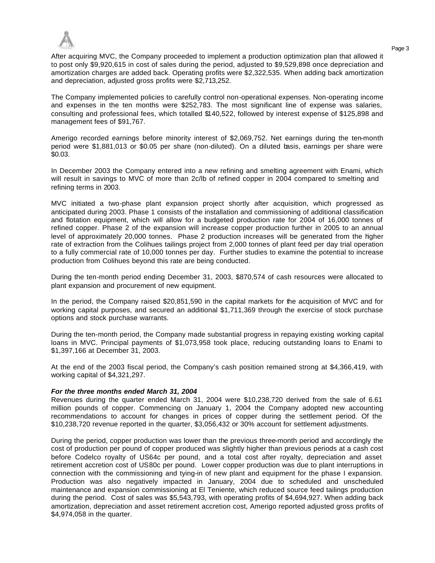

Page 3 After acquiring MVC, the Company proceeded to implement a production optimization plan that allowed it to post only \$9,920,615 in cost of sales during the period, adjusted to \$9,529,898 once depreciation and amortization charges are added back. Operating profits were \$2,322,535. When adding back amortization and depreciation, adjusted gross profits were \$2,713,252.

The Company implemented policies to carefully control non-operational expenses. Non-operating income and expenses in the ten months were \$252,783. The most significant line of expense was salaries, consulting and professional fees, which totalled \$140,522, followed by interest expense of \$125,898 and management fees of \$91,767.

Amerigo recorded earnings before minority interest of \$2,069,752. Net earnings during the ten-month period were \$1,881,013 or \$0.05 per share (non-diluted). On a diluted basis, earnings per share were \$0.03.

In December 2003 the Company entered into a new refining and smelting agreement with Enami, which will result in savings to MVC of more than 2c/lb of refined copper in 2004 compared to smelting and refining terms in 2003.

MVC initiated a two-phase plant expansion project shortly after acquisition, which progressed as anticipated during 2003. Phase 1 consists of the installation and commissioning of additional classification and flotation equipment, which will allow for a budgeted production rate for 2004 of 16,000 tonnes of refined copper. Phase 2 of the expansion will increase copper production further in 2005 to an annual level of approximately 20,000 tonnes. Phase 2 production increases will be generated from the higher rate of extraction from the Colihues tailings project from 2,000 tonnes of plant feed per day trial operation to a fully commercial rate of 10,000 tonnes per day. Further studies to examine the potential to increase production from Colihues beyond this rate are being conducted.

During the ten-month period ending December 31, 2003, \$870,574 of cash resources were allocated to plant expansion and procurement of new equipment.

In the period, the Company raised \$20,851,590 in the capital markets for the acquisition of MVC and for working capital purposes, and secured an additional \$1,711,369 through the exercise of stock purchase options and stock purchase warrants.

During the ten-month period, the Company made substantial progress in repaying existing working capital loans in MVC. Principal payments of \$1,073,958 took place, reducing outstanding loans to Enami to \$1,397,166 at December 31, 2003.

At the end of the 2003 fiscal period, the Company's cash position remained strong at \$4,366,419, with working capital of \$4,321,297.

### *For the three months ended March 31, 2004*

Revenues during the quarter ended March 31, 2004 were \$10,238,720 derived from the sale of 6.61 million pounds of copper. Commencing on January 1, 2004 the Company adopted new accounting recommendations to account for changes in prices of copper during the settlement period. Of the \$10,238,720 revenue reported in the quarter, \$3,056,432 or 30% account for settlement adjustments.

During the period, copper production was lower than the previous three-month period and accordingly the cost of production per pound of copper produced was slightly higher than previous periods at a cash cost before Codelco royalty of US64c per pound, and a total cost after royalty, depreciation and asset retirement accretion cost of US80c per pound. Lower copper production was due to plant interruptions in connection with the commissioning and tying-in of new plant and equipment for the phase I expansion. Production was also negatively impacted in January, 2004 due to scheduled and unscheduled maintenance and expansion commissioning at El Teniente, which reduced source feed tailings production during the period. Cost of sales was \$5,543,793, with operating profits of \$4,694,927. When adding back amortization, depreciation and asset retirement accretion cost, Amerigo reported adjusted gross profits of \$4,974,058 in the quarter.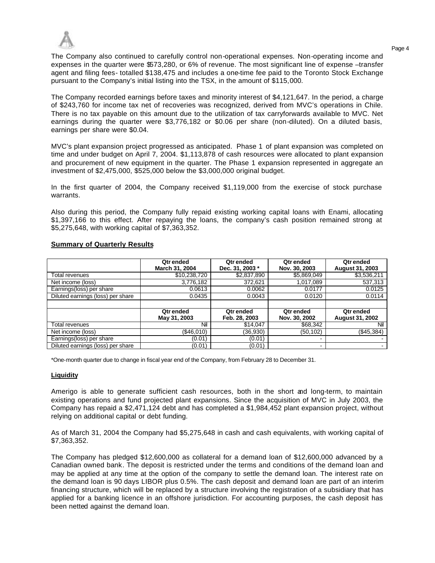

The Company also continued to carefully control non-operational expenses. Non-operating income and expenses in the quarter were \$573,280, or 6% of revenue. The most significant line of expense –transfer agent and filing fees- totalled \$138,475 and includes a one-time fee paid to the Toronto Stock Exchange pursuant to the Company's initial listing into the TSX, in the amount of \$115,000.

The Company recorded earnings before taxes and minority interest of \$4,121,647. In the period, a charge of \$243,760 for income tax net of recoveries was recognized, derived from MVC's operations in Chile. There is no tax payable on this amount due to the utilization of tax carryforwards available to MVC. Net earnings during the quarter were \$3,776,182 or \$0.06 per share (non-diluted). On a diluted basis, earnings per share were \$0.04.

MVC's plant expansion project progressed as anticipated. Phase 1 of plant expansion was completed on time and under budget on April 7, 2004. \$1,113,878 of cash resources were allocated to plant expansion and procurement of new equipment in the quarter. The Phase 1 expansion represented in aggregate an investment of \$2,475,000, \$525,000 below the \$3,000,000 original budget.

In the first quarter of 2004, the Company received \$1,119,000 from the exercise of stock purchase warrants.

Also during this period, the Company fully repaid existing working capital loans with Enami, allocating \$1,397,166 to this effect. After repaying the loans, the company's cash position remained strong at \$5,275,648, with working capital of \$7,363,352.

|                                   | <b>Qtrended</b><br>March 31, 2004 | <b>Qtrended</b><br>Dec. 31, 2003 * | <b>Qtrended</b><br>Nov. 30, 2003 | Qtr ended<br><b>August 31, 2003</b> |
|-----------------------------------|-----------------------------------|------------------------------------|----------------------------------|-------------------------------------|
| Total revenues                    | \$10,238,720                      | \$2,837,890                        | \$5,869,049                      | \$3,536,211                         |
| Net income (loss)                 | 3,776,182                         | 372,621                            | 1,017,089                        | 537,313                             |
| Earnings(loss) per share          | 0.0613                            | 0.0062                             | 0.0177                           | 0.0125                              |
| Diluted earnings (loss) per share | 0.0435                            | 0.0043                             | 0.0120                           | 0.0114                              |
|                                   |                                   |                                    |                                  |                                     |
|                                   | <b>Qtrended</b><br>May 31, 2003   | <b>Qtrended</b><br>Feb. 28, 2003   | Qtr ended<br>Nov. 30, 2002       | Qtr ended<br><b>August 31, 2002</b> |
| Total revenues                    | Nil                               | \$14,047                           | \$68,342                         | Nil                                 |
| Net income (loss)                 | (\$46,010)                        | (36,930)                           | (50,102)                         | (\$45,384)                          |
| Earnings(loss) per share          | (0.01)                            | (0.01)                             | $\overline{\phantom{0}}$         |                                     |
| Diluted earnings (loss) per share | (0.01)                            | (0.01)                             | -                                |                                     |

# **Summary of Quarterly Results**

\*One-month quarter due to change in fiscal year end of the Company, from February 28 to December 31.

# **Liquidity**

Amerigo is able to generate sufficient cash resources, both in the short and long-term, to maintain existing operations and fund projected plant expansions. Since the acquisition of MVC in July 2003, the Company has repaid a \$2,471,124 debt and has completed a \$1,984,452 plant expansion project, without relying on additional capital or debt funding.

As of March 31, 2004 the Company had \$5,275,648 in cash and cash equivalents, with working capital of \$7,363,352.

The Company has pledged \$12,600,000 as collateral for a demand loan of \$12,600,000 advanced by a Canadian owned bank. The deposit is restricted under the terms and conditions of the demand loan and may be applied at any time at the option of the company to settle the demand loan. The interest rate on the demand loan is 90 days LIBOR plus 0.5%. The cash deposit and demand loan are part of an interim financing structure, which will be replaced by a structure involving the registration of a subsidiary that has applied for a banking licence in an offshore jurisdiction. For accounting purposes, the cash deposit has been netted against the demand loan.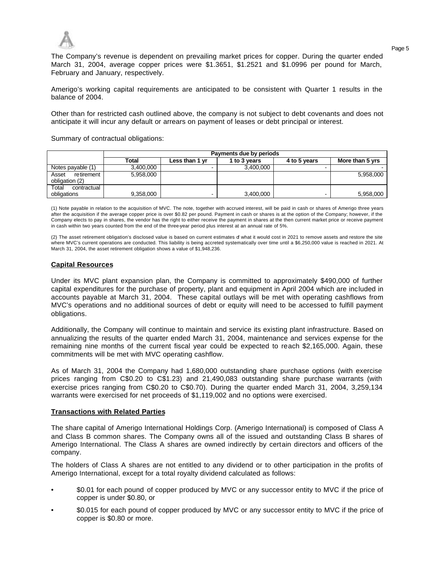

The Company's revenue is dependent on prevailing market prices for copper. During the quarter ended March 31, 2004, average copper prices were \$1.3651, \$1.2521 and \$1.0996 per pound for March, February and January, respectively.

Amerigo's working capital requirements are anticipated to be consistent with Quarter 1 results in the balance of 2004.

Other than for restricted cash outlined above, the company is not subject to debt covenants and does not anticipate it will incur any default or arrears on payment of leases or debt principal or interest.

Summary of contractual obligations:

|                                       | Payments due by periods |                |              |              |                 |  |  |
|---------------------------------------|-------------------------|----------------|--------------|--------------|-----------------|--|--|
|                                       | Total                   | Less than 1 vr | l to 3 vears | 4 to 5 years | More than 5 yrs |  |  |
| Notes payable (1)                     | 3.400.000               | -              | 3.400.000    |              |                 |  |  |
| Asset<br>retirement<br>obligation (2) | 5,958,000               |                |              |              | 5.958.000       |  |  |
| Total<br>contractual<br>obligations   | 9,358,000               |                | 3,400,000    |              | 5,958,000       |  |  |

(1) Note payable in relation to the acquisition of MVC. The note, together with accrued interest, will be paid in cash or shares of Amerigo three years after the acquisition if the average copper price is over \$0.82 per pound. Payment in cash or shares is at the option of the Company; however, if the Company elects to pay in shares, the vendor has the right to either receive the payment in shares at the then current market price or receive payment in cash within two years counted from the end of the three-year period plus interest at an annual rate of 5%.

(2) The asset retirement obligation's disclosed value is based on current estimates of what it would cost in 2021 to remove assets and restore the site where MVC's current operations are conducted. This liability is being accreted systematically over time until a \$6,250,000 value is reached in 2021. At March 31, 2004, the asset retirement obligation shows a value of \$1,948,236.

### **Capital Resources**

Under its MVC plant expansion plan, the Company is committed to approximately \$490,000 of further capital expenditures for the purchase of property, plant and equipment in April 2004 which are included in accounts payable at March 31, 2004. These capital outlays will be met with operating cashflows from MVC's operations and no additional sources of debt or equity will need to be accessed to fulfill payment obligations.

Additionally, the Company will continue to maintain and service its existing plant infrastructure. Based on annualizing the results of the quarter ended March 31, 2004, maintenance and services expense for the remaining nine months of the current fiscal year could be expected to reach \$2,165,000. Again, these commitments will be met with MVC operating cashflow.

As of March 31, 2004 the Company had 1,680,000 outstanding share purchase options (with exercise prices ranging from C\$0.20 to C\$1.23) and 21,490,083 outstanding share purchase warrants (with exercise prices ranging from C\$0.20 to C\$0.70). During the quarter ended March 31, 2004, 3,259,134 warrants were exercised for net proceeds of \$1,119,002 and no options were exercised.

### **Transactions with Related Parties**

The share capital of Amerigo International Holdings Corp. (Amerigo International) is composed of Class A and Class B common shares. The Company owns all of the issued and outstanding Class B shares of Amerigo International. The Class A shares are owned indirectly by certain directors and officers of the company.

The holders of Class A shares are not entitled to any dividend or to other participation in the profits of Amerigo International, except for a total royalty dividend calculated as follows:

- \$0.01 for each pound of copper produced by MVC or any successor entity to MVC if the price of copper is under \$0.80, or
- \$0.015 for each pound of copper produced by MVC or any successor entity to MVC if the price of copper is \$0.80 or more.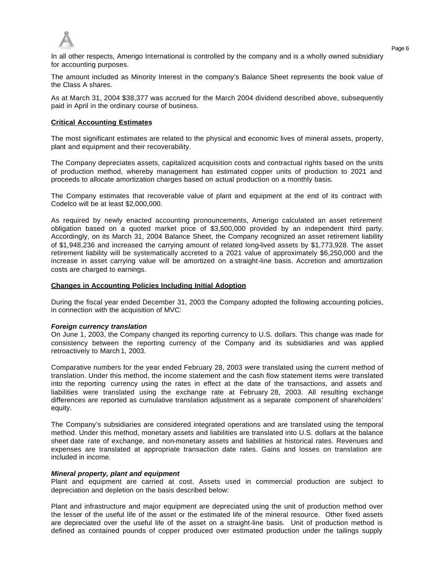

In all other respects, Amerigo International is controlled by the company and is a wholly owned subsidiary for accounting purposes.

The amount included as Minority Interest in the company's Balance Sheet represents the book value of the Class A shares.

As at March 31, 2004 \$38,377 was accrued for the March 2004 dividend described above, subsequently paid in April in the ordinary course of business.

## **Critical Accounting Estimates**

The most significant estimates are related to the physical and economic lives of mineral assets, property, plant and equipment and their recoverability.

The Company depreciates assets, capitalized acquisition costs and contractual rights based on the units of production method, whereby management has estimated copper units of production to 2021 and proceeds to allocate amortization charges based on actual production on a monthly basis.

The Company estimates that recoverable value of plant and equipment at the end of its contract with Codelco will be at least \$2,000,000.

As required by newly enacted accounting pronouncements, Amerigo calculated an asset retirement obligation based on a quoted market price of \$3,500,000 provided by an independent third party. Accordingly, on its March 31, 2004 Balance Sheet, the Company recognized an asset retirement liability of \$1,948,236 and increased the carrying amount of related long-lived assets by \$1,773,928. The asset retirement liability will be systematically accreted to a 2021 value of approximately \$6,250,000 and the increase in asset carrying value will be amortized on a straight-line basis. Accretion and amortization costs are charged to earnings.

## **Changes in Accounting Policies Including Initial Adoption**

During the fiscal year ended December 31, 2003 the Company adopted the following accounting policies, in connection with the acquisition of MVC:

### *Foreign currency translation*

On June 1, 2003, the Company changed its reporting currency to U.S. dollars. This change was made for consistency between the reporting currency of the Company and its subsidiaries and was applied retroactively to March 1, 2003.

Comparative numbers for the year ended February 28, 2003 were translated using the current method of translation. Under this method, the income statement and the cash flow statement items were translated into the reporting currency using the rates in effect at the date of the transactions, and assets and liabilities were translated using the exchange rate at February 28, 2003. All resulting exchange differences are reported as cumulative translation adjustment as a separate component of shareholders' equity.

The Company's subsidiaries are considered integrated operations and are translated using the temporal method. Under this method, monetary assets and liabilities are translated into U.S. dollars at the balance sheet date rate of exchange, and non-monetary assets and liabilities at historical rates. Revenues and expenses are translated at appropriate transaction date rates. Gains and losses on translation are included in income.

### *Mineral property, plant and equipment*

Plant and equipment are carried at cost. Assets used in commercial production are subject to depreciation and depletion on the basis described below:

Plant and infrastructure and major equipment are depreciated using the unit of production method over the lesser of the useful life of the asset or the estimated life of the mineral resource. Other fixed assets are depreciated over the useful life of the asset on a straight-line basis. Unit of production method is defined as contained pounds of copper produced over estimated production under the tailings supply